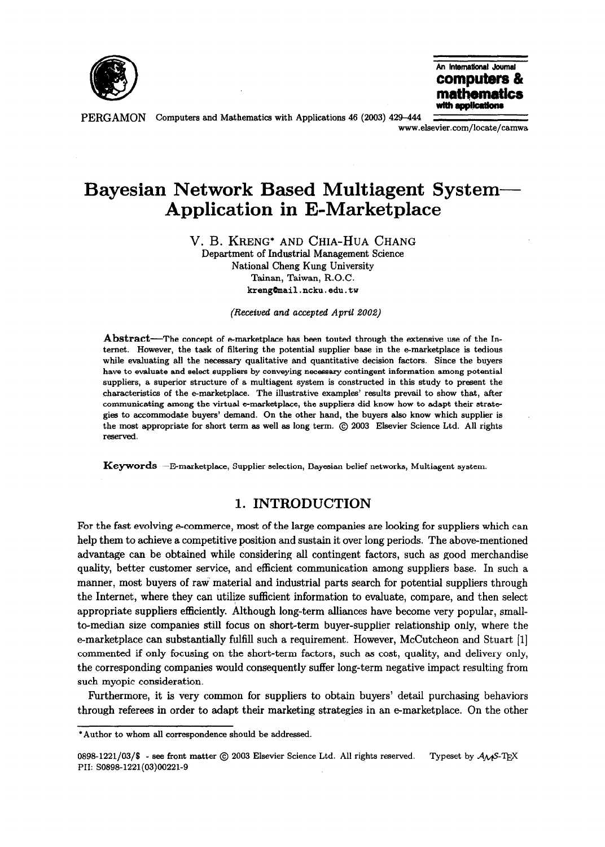

An International Journal computers & **mathematics**<br>with applications

PERGAMON Computers and Mathematics with Applications 46 (2003) 429-444

www.elsevier.com/locate/camwa

## Bayesian Network Based Multiagent System-Application in E-Marketplace

V. B. KRENG\* AND CHIA-HUA CHANG

Department of Industrial Management Science National Cheng Kung University Tainan, Taiwan, R.O.C. kreng@mail.ncku.edu.tw

(Received and accepted April 2002)

Abstract—The concept of e-marketplace has been touted through the extensive use of the Internet. However, the task of filtering the potential supplier base in the e-marketplace is tedious while evaluating all the necessary qualitative and quantitative decision factors. Since the buyers have to evaluate and select suppliers by conveying necessary contingent information among potential suppliers, a superior structure of a multiagent system is constructed in this study to present the characteristics of the e-marketplace. The illustrative examples' results prevail to show that, after communicating among the virtual e-marketplace, the suppliers did know how to adapt their strategies to accommodate buyers' demand. On the other hand, the buyers also know which supplier is the most appropriate for short term as well as long term. @ 2003 Elsevier Science Ltd. All rights reserved.

Keywords-E-marketplace, Supplier selection, Bayesian belief networks, Multiagent system.

## 1. INTRODUCTION

For the fast evolving e-commerce, most of the large companies are looking for suppliers which can help them to achieve a competitive position and sustain it over long periods. The above-mentioned advantage can be obtained while considering all contingent factors, such as good merchandise quality, better customer service, and efficient communication among suppliers base. In such a manner, most buyers of raw' material and industrial parts search for potential suppliers through the Internet, where they can utilize sufficient information to evaluate, compare, and then select appropriate suppliers efficiently. Although long-term alliances have become very popular, smallto-median size companies still focus on short-term buyer-supplier relationship only, where the e-marketplace can substantially fulfill such a requirement. However, McCutcheon and Stuart [l] commented if only focusing on the short-term factors, such as cost, quality, and delivery only, the corresponding companies would consequently suffer long-term negative impact resulting from such myopic consideration.

Furthermore, it is very common for suppliers to obtain buyers' detail purchasing behaviors through referees in order to adapt their marketing strategies in an e-marketplace. On the other

<sup>\*</sup>Author to whom all correspondence should be addressed.

<sup>0898-1221/03/\$ -</sup> see front matter  $\odot$  2003 Elsevier Science Ltd. All rights reserved. Typeset by  $A_{\mathcal{M}}$ S-TEX PII: SO898-1221(03)00221-9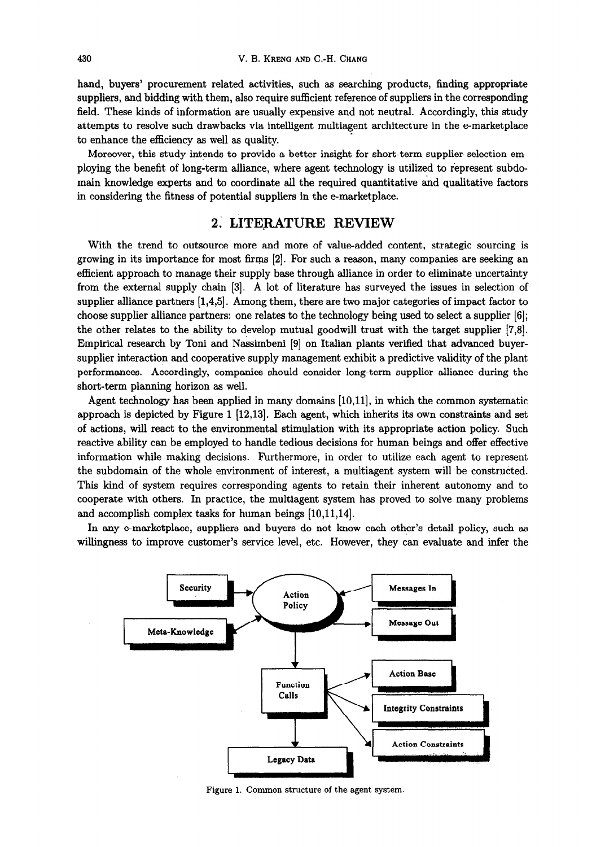hand, buyers' procurement related activities, such as searching products, finding appropriate suppliers, and bidding with them, also require sufficient reference of suppliers in the corresponding field. These kinds of information are usually expensive and not neutral. Accordingly, this study attempts to resolve such drawbacks via intelligent multiagent architecture in the e-marketplace to enhance the efficiency as well as quality.

Moreover, this study intends to provide a better insight for short-term supplier selection employing the benefit of long-term alliance, where agent technology is utilized to represent subdomain knowledge experts and to coordinate all the required quantitative and qualitative factors in considering the fitness of potential suppliers in the e-marketplace.

## 2. LITERATURE REVIEW

With the trend to outsource more and more of value-added content, strategic sourcing is growing in its importance for most firms [2]. For such a reason, many companies are seeking an efficient approach to manage their supply base through alliance in order to eliminate uncertainty from the external supply chain [3]. A lot of literature has surveyed the issues in selection of supplier alliance partners [1,4,5]. Among them, there are two major categories of impact factor to choose supplier alliance partners: one relates to the technology being used to select a supplier [6]; the other relates to the ability to develop mutual goodwill trust with the target supplier [7,8]. Empirical research by Toni and Nassimbeni [9] on Italian plants verified that advanced buyersupplier interaction and cooperative supply management exhibit a predictive validity of the plant performances. Accordingly, companies should consider long-term supplier alliance during the short-term planning horizon as well.

Agent technology has been applied in many domains [lO,ll], in which the common systematic approach is depicted by Figure 1 [12,13]. Each agent, which inherits its own constraints and set of actions, will react to the environmental stimulation with its appropriate action policy. Such reactive ability can be employed to handle tedious decisions for human beings and offer effective information while making decisions. Furthermore, in order to utilize each agent to represent the subdomain of the whole environment of interest, a multiagent system will be constructed. This kind of system requires corresponding agents to retain their inherent autonomy and to cooperate with others. In practice, the multiagent system has proved to solve many problems and accomplish complex tasks for human beings [10,11,14].

In any e-marketplace, suppliers and buyers do not know each other's detail policy, such as willingness to improve customer's service level, etc. However, they can evaluate and infer the



Figure 1. Common structure of the agent system.